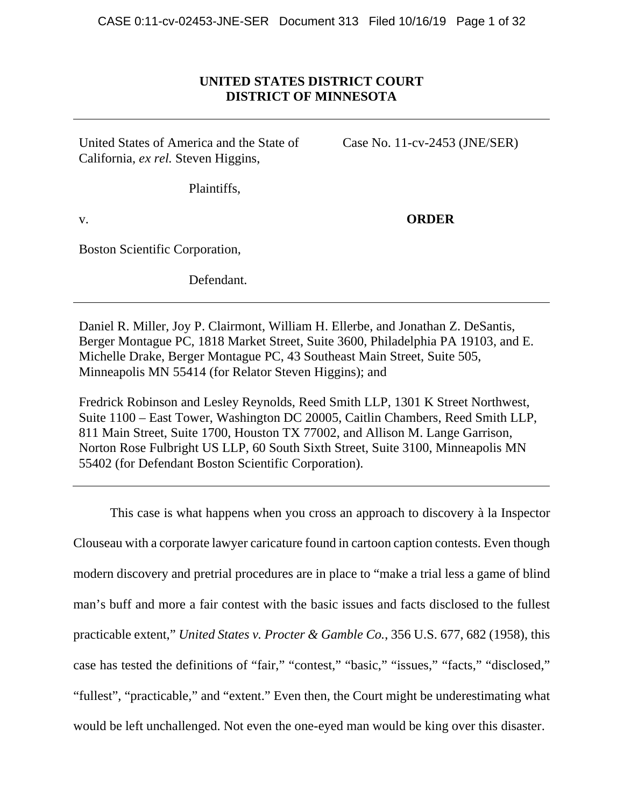# **UNITED STATES DISTRICT COURT DISTRICT OF MINNESOTA**

United States of America and the State of California, *ex rel.* Steven Higgins,

Case No. 11-cv-2453 (JNE/SER)

Plaintiffs,

v.

**ORDER** 

Boston Scientific Corporation,

Defendant.

Daniel R. Miller, Joy P. Clairmont, William H. Ellerbe, and Jonathan Z. DeSantis, Berger Montague PC, 1818 Market Street, Suite 3600, Philadelphia PA 19103, and E. Michelle Drake, Berger Montague PC, 43 Southeast Main Street, Suite 505, Minneapolis MN 55414 (for Relator Steven Higgins); and

Fredrick Robinson and Lesley Reynolds, Reed Smith LLP, 1301 K Street Northwest, Suite 1100 – East Tower, Washington DC 20005, Caitlin Chambers, Reed Smith LLP, 811 Main Street, Suite 1700, Houston TX 77002, and Allison M. Lange Garrison, Norton Rose Fulbright US LLP, 60 South Sixth Street, Suite 3100, Minneapolis MN 55402 (for Defendant Boston Scientific Corporation).

This case is what happens when you cross an approach to discovery à la Inspector Clouseau with a corporate lawyer caricature found in cartoon caption contests. Even though modern discovery and pretrial procedures are in place to "make a trial less a game of blind man's buff and more a fair contest with the basic issues and facts disclosed to the fullest practicable extent," *United States v. Procter & Gamble Co.*, 356 U.S. 677, 682 (1958), this case has tested the definitions of "fair," "contest," "basic," "issues," "facts," "disclosed," "fullest", "practicable," and "extent." Even then, the Court might be underestimating what would be left unchallenged. Not even the one-eyed man would be king over this disaster.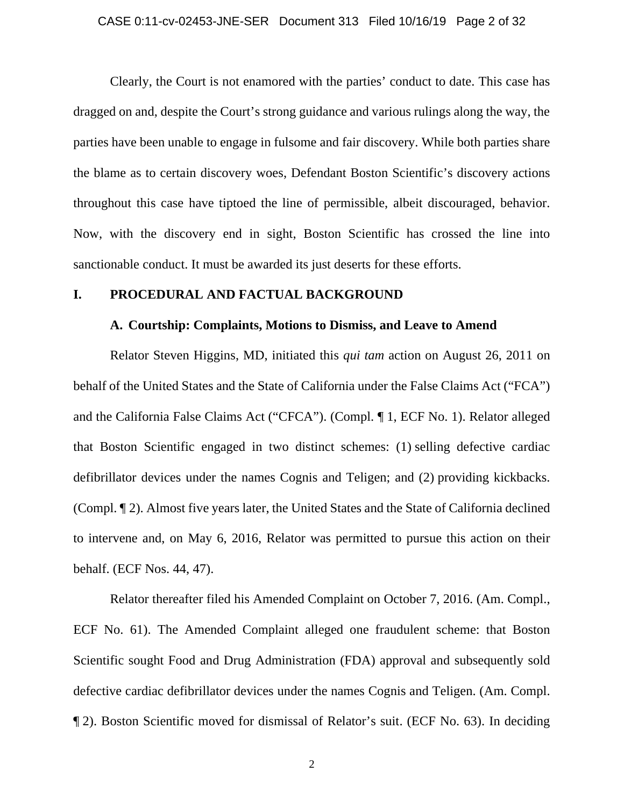### CASE 0:11-cv-02453-JNE-SER Document 313 Filed 10/16/19 Page 2 of 32

Clearly, the Court is not enamored with the parties' conduct to date. This case has dragged on and, despite the Court's strong guidance and various rulings along the way, the parties have been unable to engage in fulsome and fair discovery. While both parties share the blame as to certain discovery woes, Defendant Boston Scientific's discovery actions throughout this case have tiptoed the line of permissible, albeit discouraged, behavior. Now, with the discovery end in sight, Boston Scientific has crossed the line into sanctionable conduct. It must be awarded its just deserts for these efforts.

## **I. PROCEDURAL AND FACTUAL BACKGROUND**

### **A. Courtship: Complaints, Motions to Dismiss, and Leave to Amend**

Relator Steven Higgins, MD, initiated this *qui tam* action on August 26, 2011 on behalf of the United States and the State of California under the False Claims Act ("FCA") and the California False Claims Act ("CFCA"). (Compl. ¶ 1, ECF No. 1). Relator alleged that Boston Scientific engaged in two distinct schemes: (1) selling defective cardiac defibrillator devices under the names Cognis and Teligen; and (2) providing kickbacks. (Compl. ¶ 2). Almost five years later, the United States and the State of California declined to intervene and, on May 6, 2016, Relator was permitted to pursue this action on their behalf. (ECF Nos. 44, 47).

 Relator thereafter filed his Amended Complaint on October 7, 2016. (Am. Compl., ECF No. 61). The Amended Complaint alleged one fraudulent scheme: that Boston Scientific sought Food and Drug Administration (FDA) approval and subsequently sold defective cardiac defibrillator devices under the names Cognis and Teligen. (Am. Compl. ¶ 2). Boston Scientific moved for dismissal of Relator's suit. (ECF No. 63). In deciding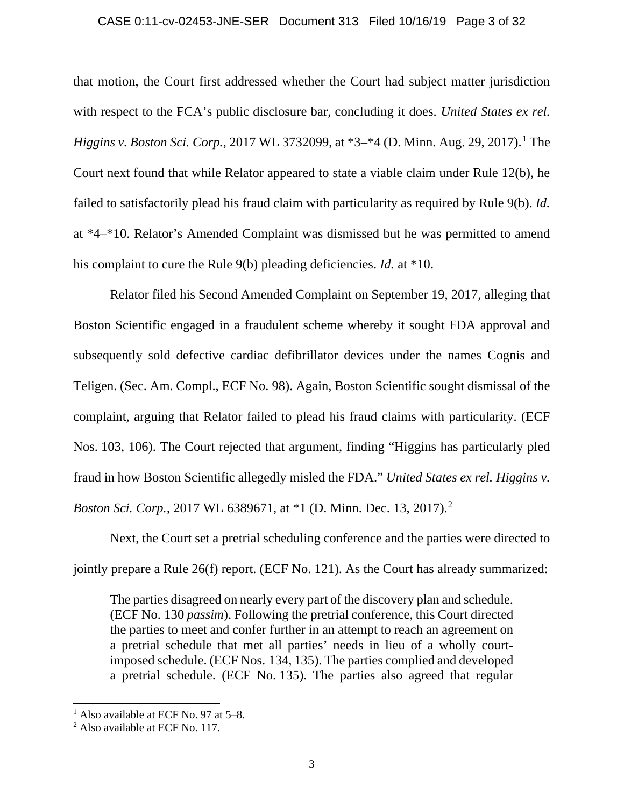### CASE 0:11-cv-02453-JNE-SER Document 313 Filed 10/16/19 Page 3 of 32

that motion, the Court first addressed whether the Court had subject matter jurisdiction with respect to the FCA's public disclosure bar, concluding it does. *United States ex rel. Higgins v. Boston Sci. Corp.*, 2017 WL 3732099, at \*3–\*4 (D. Minn. Aug. 29, 2017).<sup>1</sup> The Court next found that while Relator appeared to state a viable claim under Rule 12(b), he failed to satisfactorily plead his fraud claim with particularity as required by Rule 9(b). *Id.*  at \*4–\*10. Relator's Amended Complaint was dismissed but he was permitted to amend his complaint to cure the Rule 9(b) pleading deficiencies. *Id.* at \*10.

 Relator filed his Second Amended Complaint on September 19, 2017, alleging that Boston Scientific engaged in a fraudulent scheme whereby it sought FDA approval and subsequently sold defective cardiac defibrillator devices under the names Cognis and Teligen. (Sec. Am. Compl., ECF No. 98). Again, Boston Scientific sought dismissal of the complaint, arguing that Relator failed to plead his fraud claims with particularity. (ECF Nos. 103, 106). The Court rejected that argument, finding "Higgins has particularly pled fraud in how Boston Scientific allegedly misled the FDA." *United States ex rel. Higgins v. Boston Sci. Corp.*, 2017 WL 6389671, at \*1 (D. Minn. Dec. 13, 2017).<sup>2</sup>

Next, the Court set a pretrial scheduling conference and the parties were directed to jointly prepare a Rule 26(f) report. (ECF No. 121). As the Court has already summarized:

The parties disagreed on nearly every part of the discovery plan and schedule. (ECF No. 130 *passim*). Following the pretrial conference, this Court directed the parties to meet and confer further in an attempt to reach an agreement on a pretrial schedule that met all parties' needs in lieu of a wholly courtimposed schedule. (ECF Nos. 134, 135). The parties complied and developed a pretrial schedule. (ECF No. 135). The parties also agreed that regular

<sup>&</sup>lt;sup>1</sup> Also available at ECF No. 97 at 5–8.

<sup>2</sup> Also available at ECF No. 117.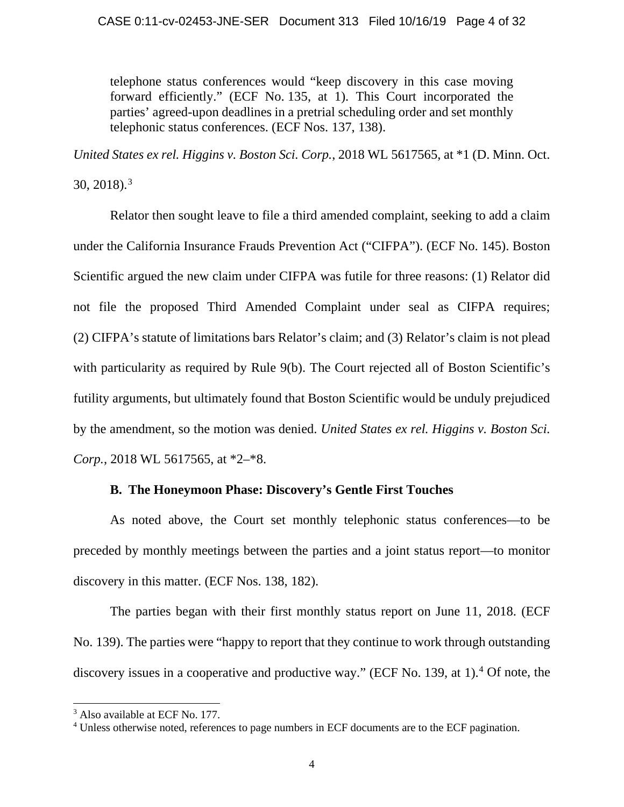## CASE 0:11-cv-02453-JNE-SER Document 313 Filed 10/16/19 Page 4 of 32

telephone status conferences would "keep discovery in this case moving forward efficiently." (ECF No. 135, at 1). This Court incorporated the parties' agreed-upon deadlines in a pretrial scheduling order and set monthly telephonic status conferences. (ECF Nos. 137, 138).

*United States ex rel. Higgins v. Boston Sci. Corp.*, 2018 WL 5617565, at \*1 (D. Minn. Oct.

 $30, 2018$ .<sup>3</sup>

 Relator then sought leave to file a third amended complaint, seeking to add a claim under the California Insurance Frauds Prevention Act ("CIFPA"). (ECF No. 145). Boston Scientific argued the new claim under CIFPA was futile for three reasons: (1) Relator did not file the proposed Third Amended Complaint under seal as CIFPA requires; (2) CIFPA's statute of limitations bars Relator's claim; and (3) Relator's claim is not plead with particularity as required by Rule 9(b). The Court rejected all of Boston Scientific's futility arguments, but ultimately found that Boston Scientific would be unduly prejudiced by the amendment, so the motion was denied. *United States ex rel. Higgins v. Boston Sci. Corp.*, 2018 WL 5617565, at \*2–\*8.

# **B. The Honeymoon Phase: Discovery's Gentle First Touches**

As noted above, the Court set monthly telephonic status conferences—to be preceded by monthly meetings between the parties and a joint status report—to monitor discovery in this matter. (ECF Nos. 138, 182).

The parties began with their first monthly status report on June 11, 2018. (ECF No. 139). The parties were "happy to report that they continue to work through outstanding discovery issues in a cooperative and productive way." (ECF No. 139, at 1).<sup>4</sup> Of note, the

<sup>&</sup>lt;sup>3</sup> Also available at ECF No. 177.

<sup>&</sup>lt;sup>4</sup> Unless otherwise noted, references to page numbers in ECF documents are to the ECF pagination.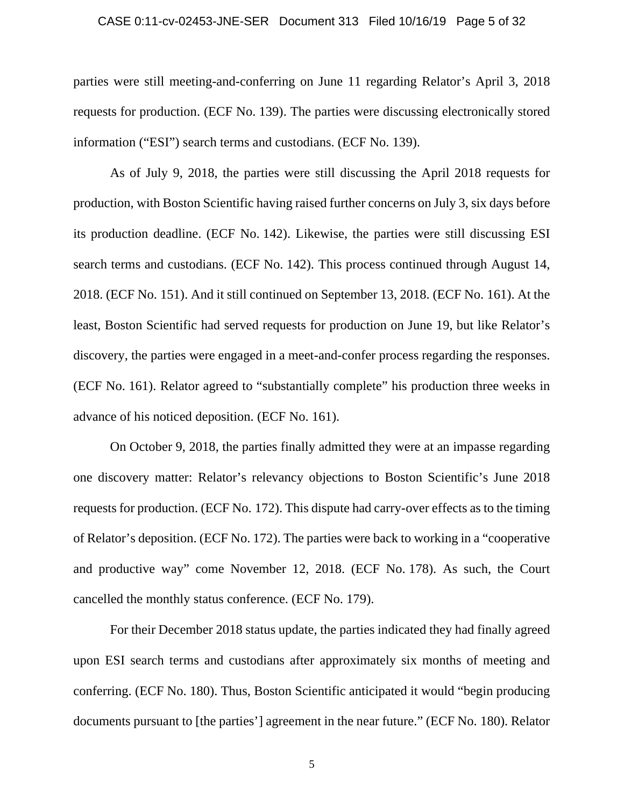### CASE 0:11-cv-02453-JNE-SER Document 313 Filed 10/16/19 Page 5 of 32

parties were still meeting-and-conferring on June 11 regarding Relator's April 3, 2018 requests for production. (ECF No. 139). The parties were discussing electronically stored information ("ESI") search terms and custodians. (ECF No. 139).

As of July 9, 2018, the parties were still discussing the April 2018 requests for production, with Boston Scientific having raised further concerns on July 3, six days before its production deadline. (ECF No. 142). Likewise, the parties were still discussing ESI search terms and custodians. (ECF No. 142). This process continued through August 14, 2018. (ECF No. 151). And it still continued on September 13, 2018. (ECF No. 161). At the least, Boston Scientific had served requests for production on June 19, but like Relator's discovery, the parties were engaged in a meet-and-confer process regarding the responses. (ECF No. 161). Relator agreed to "substantially complete" his production three weeks in advance of his noticed deposition. (ECF No. 161).

On October 9, 2018, the parties finally admitted they were at an impasse regarding one discovery matter: Relator's relevancy objections to Boston Scientific's June 2018 requests for production. (ECF No. 172). This dispute had carry-over effects as to the timing of Relator's deposition. (ECF No. 172). The parties were back to working in a "cooperative and productive way" come November 12, 2018. (ECF No. 178). As such, the Court cancelled the monthly status conference. (ECF No. 179).

For their December 2018 status update, the parties indicated they had finally agreed upon ESI search terms and custodians after approximately six months of meeting and conferring. (ECF No. 180). Thus, Boston Scientific anticipated it would "begin producing documents pursuant to [the parties'] agreement in the near future." (ECF No. 180). Relator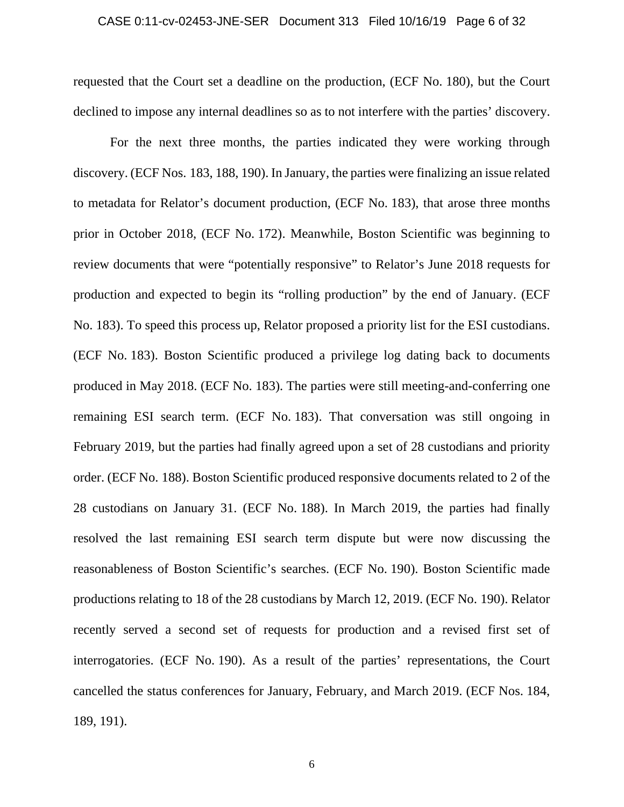### CASE 0:11-cv-02453-JNE-SER Document 313 Filed 10/16/19 Page 6 of 32

requested that the Court set a deadline on the production, (ECF No. 180), but the Court declined to impose any internal deadlines so as to not interfere with the parties' discovery.

For the next three months, the parties indicated they were working through discovery. (ECF Nos. 183, 188, 190). In January, the parties were finalizing an issue related to metadata for Relator's document production, (ECF No. 183), that arose three months prior in October 2018, (ECF No. 172). Meanwhile, Boston Scientific was beginning to review documents that were "potentially responsive" to Relator's June 2018 requests for production and expected to begin its "rolling production" by the end of January. (ECF No. 183). To speed this process up, Relator proposed a priority list for the ESI custodians. (ECF No. 183). Boston Scientific produced a privilege log dating back to documents produced in May 2018. (ECF No. 183). The parties were still meeting-and-conferring one remaining ESI search term. (ECF No. 183). That conversation was still ongoing in February 2019, but the parties had finally agreed upon a set of 28 custodians and priority order. (ECF No. 188). Boston Scientific produced responsive documents related to 2 of the 28 custodians on January 31. (ECF No. 188). In March 2019, the parties had finally resolved the last remaining ESI search term dispute but were now discussing the reasonableness of Boston Scientific's searches. (ECF No. 190). Boston Scientific made productions relating to 18 of the 28 custodians by March 12, 2019. (ECF No. 190). Relator recently served a second set of requests for production and a revised first set of interrogatories. (ECF No. 190). As a result of the parties' representations, the Court cancelled the status conferences for January, February, and March 2019. (ECF Nos. 184, 189, 191).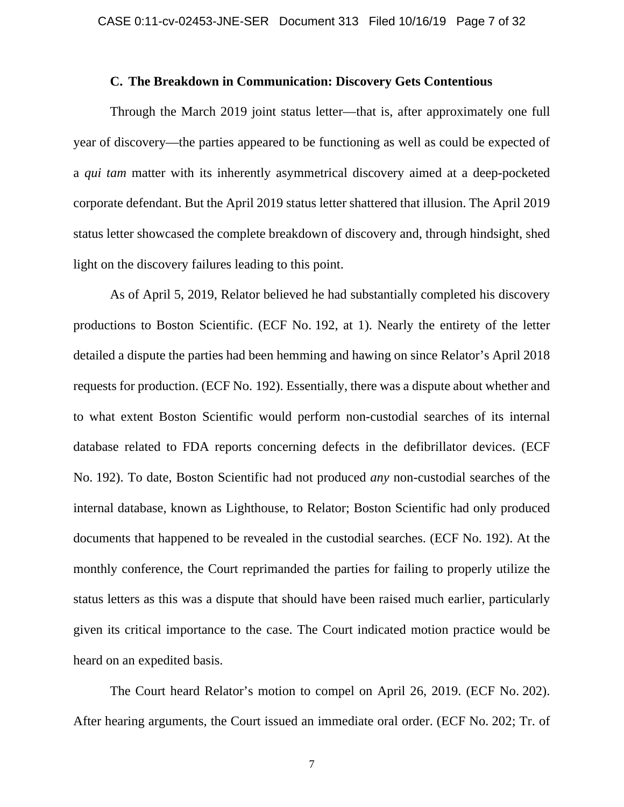### **C. The Breakdown in Communication: Discovery Gets Contentious**

Through the March 2019 joint status letter—that is, after approximately one full year of discovery—the parties appeared to be functioning as well as could be expected of a *qui tam* matter with its inherently asymmetrical discovery aimed at a deep-pocketed corporate defendant. But the April 2019 status letter shattered that illusion. The April 2019 status letter showcased the complete breakdown of discovery and, through hindsight, shed light on the discovery failures leading to this point.

As of April 5, 2019, Relator believed he had substantially completed his discovery productions to Boston Scientific. (ECF No. 192, at 1). Nearly the entirety of the letter detailed a dispute the parties had been hemming and hawing on since Relator's April 2018 requests for production. (ECF No. 192). Essentially, there was a dispute about whether and to what extent Boston Scientific would perform non-custodial searches of its internal database related to FDA reports concerning defects in the defibrillator devices. (ECF No. 192). To date, Boston Scientific had not produced *any* non-custodial searches of the internal database, known as Lighthouse, to Relator; Boston Scientific had only produced documents that happened to be revealed in the custodial searches. (ECF No. 192). At the monthly conference, the Court reprimanded the parties for failing to properly utilize the status letters as this was a dispute that should have been raised much earlier, particularly given its critical importance to the case. The Court indicated motion practice would be heard on an expedited basis.

 The Court heard Relator's motion to compel on April 26, 2019. (ECF No. 202). After hearing arguments, the Court issued an immediate oral order. (ECF No. 202; Tr. of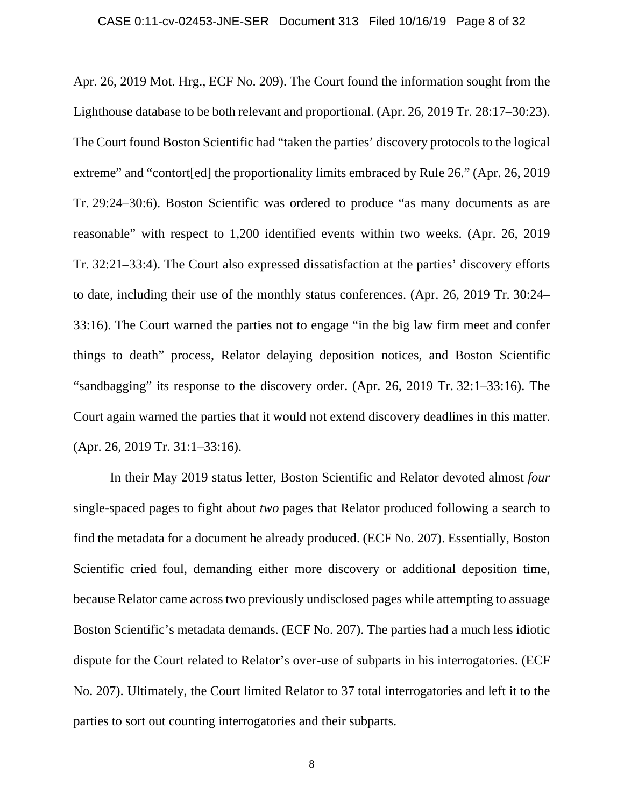### CASE 0:11-cv-02453-JNE-SER Document 313 Filed 10/16/19 Page 8 of 32

Apr. 26, 2019 Mot. Hrg., ECF No. 209). The Court found the information sought from the Lighthouse database to be both relevant and proportional. (Apr. 26, 2019 Tr. 28:17–30:23). The Court found Boston Scientific had "taken the parties' discovery protocols to the logical extreme" and "contort[ed] the proportionality limits embraced by Rule 26." (Apr. 26, 2019 Tr. 29:24–30:6). Boston Scientific was ordered to produce "as many documents as are reasonable" with respect to 1,200 identified events within two weeks. (Apr. 26, 2019 Tr. 32:21–33:4). The Court also expressed dissatisfaction at the parties' discovery efforts to date, including their use of the monthly status conferences. (Apr. 26, 2019 Tr. 30:24– 33:16). The Court warned the parties not to engage "in the big law firm meet and confer things to death" process, Relator delaying deposition notices, and Boston Scientific "sandbagging" its response to the discovery order. (Apr. 26, 2019 Tr. 32:1–33:16). The Court again warned the parties that it would not extend discovery deadlines in this matter. (Apr. 26, 2019 Tr. 31:1–33:16).

In their May 2019 status letter, Boston Scientific and Relator devoted almost *four* single-spaced pages to fight about *two* pages that Relator produced following a search to find the metadata for a document he already produced. (ECF No. 207). Essentially, Boston Scientific cried foul, demanding either more discovery or additional deposition time, because Relator came across two previously undisclosed pages while attempting to assuage Boston Scientific's metadata demands. (ECF No. 207). The parties had a much less idiotic dispute for the Court related to Relator's over-use of subparts in his interrogatories. (ECF No. 207). Ultimately, the Court limited Relator to 37 total interrogatories and left it to the parties to sort out counting interrogatories and their subparts.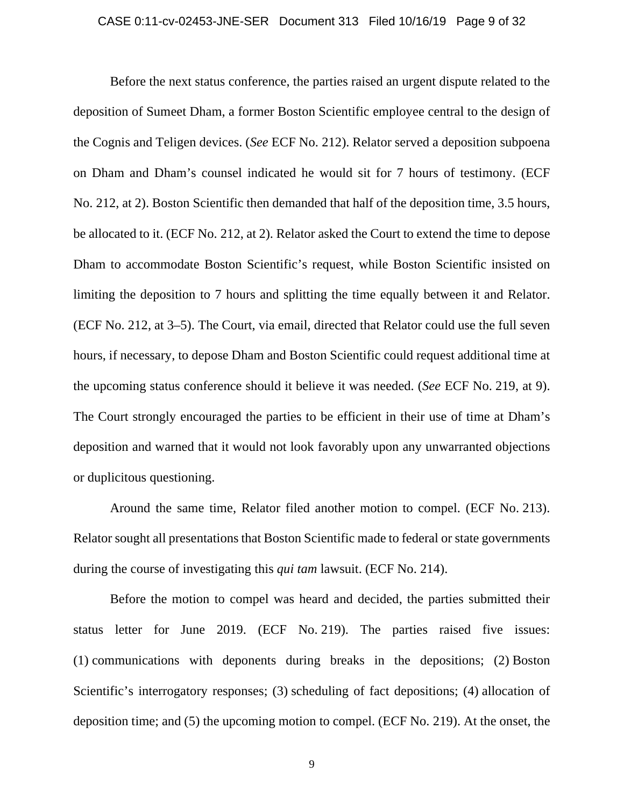### CASE 0:11-cv-02453-JNE-SER Document 313 Filed 10/16/19 Page 9 of 32

 Before the next status conference, the parties raised an urgent dispute related to the deposition of Sumeet Dham, a former Boston Scientific employee central to the design of the Cognis and Teligen devices. (*See* ECF No. 212). Relator served a deposition subpoena on Dham and Dham's counsel indicated he would sit for 7 hours of testimony. (ECF No. 212, at 2). Boston Scientific then demanded that half of the deposition time, 3.5 hours, be allocated to it. (ECF No. 212, at 2). Relator asked the Court to extend the time to depose Dham to accommodate Boston Scientific's request, while Boston Scientific insisted on limiting the deposition to 7 hours and splitting the time equally between it and Relator. (ECF No. 212, at 3–5). The Court, via email, directed that Relator could use the full seven hours, if necessary, to depose Dham and Boston Scientific could request additional time at the upcoming status conference should it believe it was needed. (*See* ECF No. 219, at 9). The Court strongly encouraged the parties to be efficient in their use of time at Dham's deposition and warned that it would not look favorably upon any unwarranted objections or duplicitous questioning.

Around the same time, Relator filed another motion to compel. (ECF No. 213). Relator sought all presentations that Boston Scientific made to federal or state governments during the course of investigating this *qui tam* lawsuit. (ECF No. 214).

Before the motion to compel was heard and decided, the parties submitted their status letter for June 2019. (ECF No. 219). The parties raised five issues: (1) communications with deponents during breaks in the depositions; (2) Boston Scientific's interrogatory responses; (3) scheduling of fact depositions; (4) allocation of deposition time; and (5) the upcoming motion to compel. (ECF No. 219). At the onset, the

9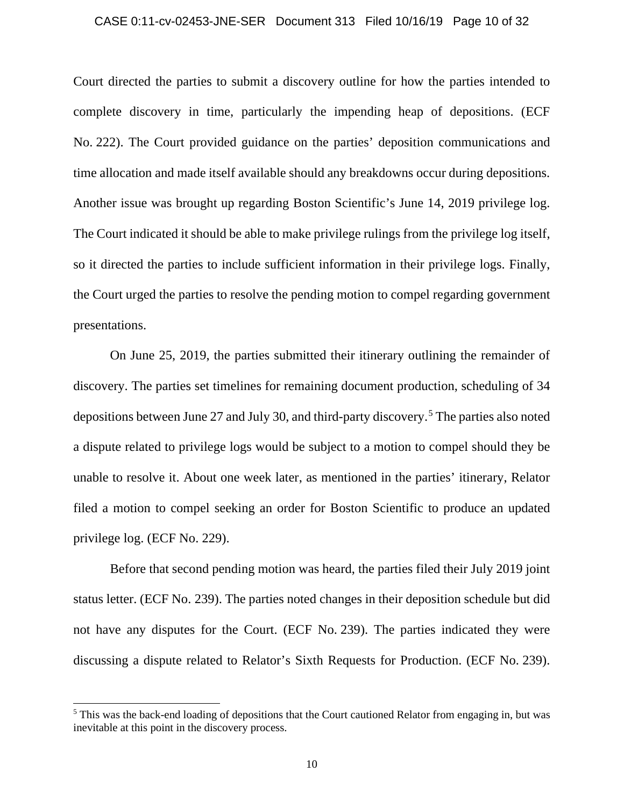#### CASE 0:11-cv-02453-JNE-SER Document 313 Filed 10/16/19 Page 10 of 32

Court directed the parties to submit a discovery outline for how the parties intended to complete discovery in time, particularly the impending heap of depositions. (ECF No. 222). The Court provided guidance on the parties' deposition communications and time allocation and made itself available should any breakdowns occur during depositions. Another issue was brought up regarding Boston Scientific's June 14, 2019 privilege log. The Court indicated it should be able to make privilege rulings from the privilege log itself, so it directed the parties to include sufficient information in their privilege logs. Finally, the Court urged the parties to resolve the pending motion to compel regarding government presentations.

On June 25, 2019, the parties submitted their itinerary outlining the remainder of discovery. The parties set timelines for remaining document production, scheduling of 34 depositions between June 27 and July 30, and third-party discovery.5 The parties also noted a dispute related to privilege logs would be subject to a motion to compel should they be unable to resolve it. About one week later, as mentioned in the parties' itinerary, Relator filed a motion to compel seeking an order for Boston Scientific to produce an updated privilege log. (ECF No. 229).

Before that second pending motion was heard, the parties filed their July 2019 joint status letter. (ECF No. 239). The parties noted changes in their deposition schedule but did not have any disputes for the Court. (ECF No. 239). The parties indicated they were discussing a dispute related to Relator's Sixth Requests for Production. (ECF No. 239).

<sup>&</sup>lt;sup>5</sup> This was the back-end loading of depositions that the Court cautioned Relator from engaging in, but was inevitable at this point in the discovery process.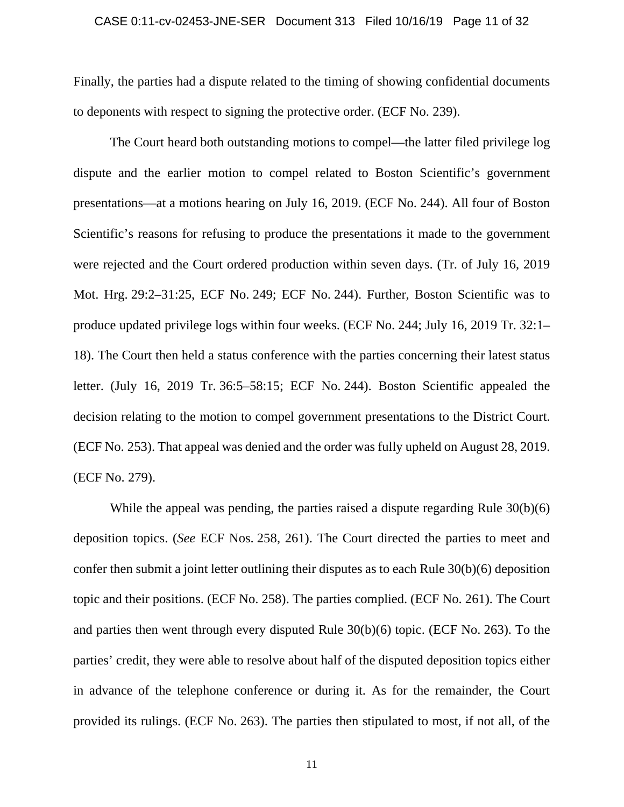### CASE 0:11-cv-02453-JNE-SER Document 313 Filed 10/16/19 Page 11 of 32

Finally, the parties had a dispute related to the timing of showing confidential documents to deponents with respect to signing the protective order. (ECF No. 239).

The Court heard both outstanding motions to compel—the latter filed privilege log dispute and the earlier motion to compel related to Boston Scientific's government presentations—at a motions hearing on July 16, 2019. (ECF No. 244). All four of Boston Scientific's reasons for refusing to produce the presentations it made to the government were rejected and the Court ordered production within seven days. (Tr. of July 16, 2019 Mot. Hrg. 29:2–31:25, ECF No. 249; ECF No. 244). Further, Boston Scientific was to produce updated privilege logs within four weeks. (ECF No. 244; July 16, 2019 Tr. 32:1– 18). The Court then held a status conference with the parties concerning their latest status letter. (July 16, 2019 Tr. 36:5–58:15; ECF No. 244). Boston Scientific appealed the decision relating to the motion to compel government presentations to the District Court. (ECF No. 253). That appeal was denied and the order was fully upheld on August 28, 2019. (ECF No. 279).

While the appeal was pending, the parties raised a dispute regarding Rule 30(b)(6) deposition topics. (*See* ECF Nos. 258, 261). The Court directed the parties to meet and confer then submit a joint letter outlining their disputes as to each Rule 30(b)(6) deposition topic and their positions. (ECF No. 258). The parties complied. (ECF No. 261). The Court and parties then went through every disputed Rule 30(b)(6) topic. (ECF No. 263). To the parties' credit, they were able to resolve about half of the disputed deposition topics either in advance of the telephone conference or during it. As for the remainder, the Court provided its rulings. (ECF No. 263). The parties then stipulated to most, if not all, of the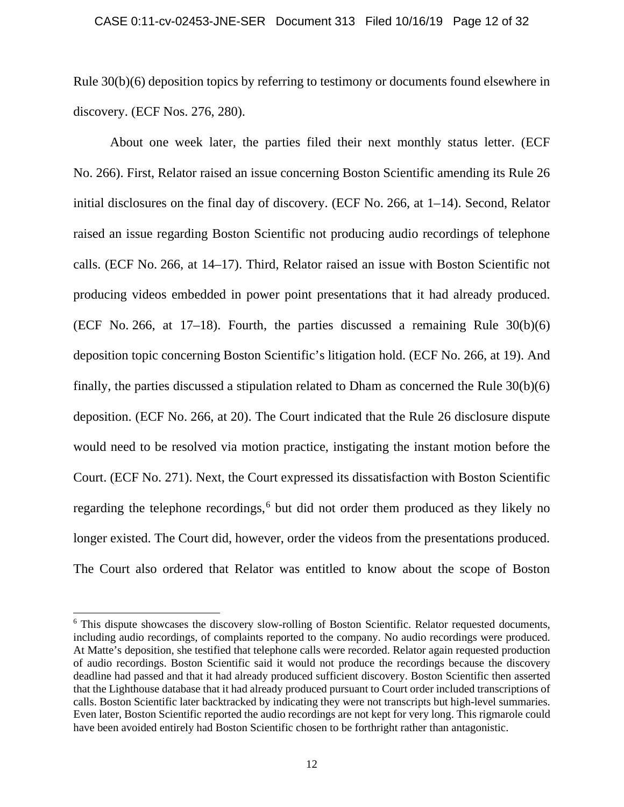### CASE 0:11-cv-02453-JNE-SER Document 313 Filed 10/16/19 Page 12 of 32

Rule 30(b)(6) deposition topics by referring to testimony or documents found elsewhere in discovery. (ECF Nos. 276, 280).

About one week later, the parties filed their next monthly status letter. (ECF No. 266). First, Relator raised an issue concerning Boston Scientific amending its Rule 26 initial disclosures on the final day of discovery. (ECF No. 266, at 1–14). Second, Relator raised an issue regarding Boston Scientific not producing audio recordings of telephone calls. (ECF No. 266, at 14–17). Third, Relator raised an issue with Boston Scientific not producing videos embedded in power point presentations that it had already produced. (ECF No. 266, at 17–18). Fourth, the parties discussed a remaining Rule  $30(b)(6)$ deposition topic concerning Boston Scientific's litigation hold. (ECF No. 266, at 19). And finally, the parties discussed a stipulation related to Dham as concerned the Rule 30(b)(6) deposition. (ECF No. 266, at 20). The Court indicated that the Rule 26 disclosure dispute would need to be resolved via motion practice, instigating the instant motion before the Court. (ECF No. 271). Next, the Court expressed its dissatisfaction with Boston Scientific regarding the telephone recordings, $6$  but did not order them produced as they likely no longer existed. The Court did, however, order the videos from the presentations produced. The Court also ordered that Relator was entitled to know about the scope of Boston

<sup>&</sup>lt;sup>6</sup> This dispute showcases the discovery slow-rolling of Boston Scientific. Relator requested documents, including audio recordings, of complaints reported to the company. No audio recordings were produced. At Matte's deposition, she testified that telephone calls were recorded. Relator again requested production of audio recordings. Boston Scientific said it would not produce the recordings because the discovery deadline had passed and that it had already produced sufficient discovery. Boston Scientific then asserted that the Lighthouse database that it had already produced pursuant to Court order included transcriptions of calls. Boston Scientific later backtracked by indicating they were not transcripts but high-level summaries. Even later, Boston Scientific reported the audio recordings are not kept for very long. This rigmarole could have been avoided entirely had Boston Scientific chosen to be forthright rather than antagonistic.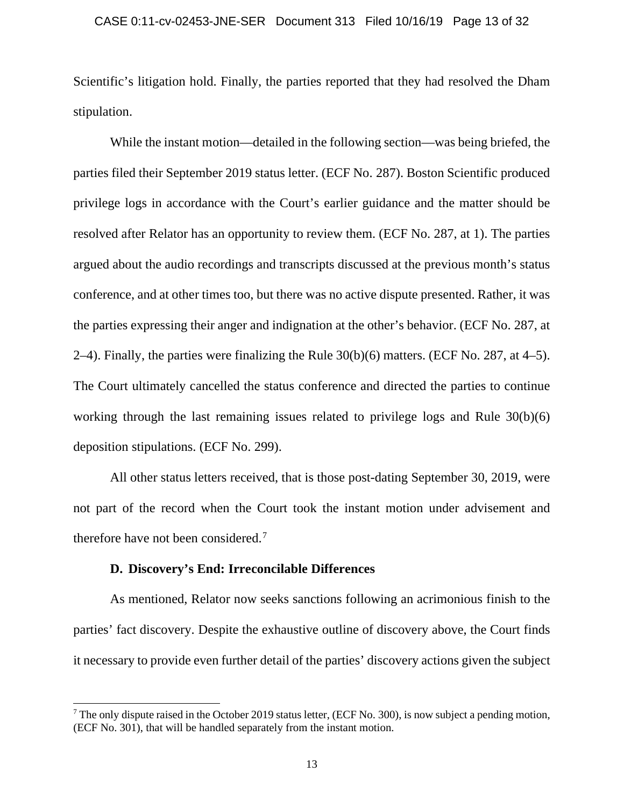### CASE 0:11-cv-02453-JNE-SER Document 313 Filed 10/16/19 Page 13 of 32

Scientific's litigation hold. Finally, the parties reported that they had resolved the Dham stipulation.

While the instant motion—detailed in the following section—was being briefed, the parties filed their September 2019 status letter. (ECF No. 287). Boston Scientific produced privilege logs in accordance with the Court's earlier guidance and the matter should be resolved after Relator has an opportunity to review them. (ECF No. 287, at 1). The parties argued about the audio recordings and transcripts discussed at the previous month's status conference, and at other times too, but there was no active dispute presented. Rather, it was the parties expressing their anger and indignation at the other's behavior. (ECF No. 287, at 2–4). Finally, the parties were finalizing the Rule 30(b)(6) matters. (ECF No. 287, at 4–5). The Court ultimately cancelled the status conference and directed the parties to continue working through the last remaining issues related to privilege logs and Rule 30(b)(6) deposition stipulations. (ECF No. 299).

 All other status letters received, that is those post-dating September 30, 2019, were not part of the record when the Court took the instant motion under advisement and therefore have not been considered.7

# **D. Discovery's End: Irreconcilable Differences**

As mentioned, Relator now seeks sanctions following an acrimonious finish to the parties' fact discovery. Despite the exhaustive outline of discovery above, the Court finds it necessary to provide even further detail of the parties' discovery actions given the subject

<sup>&</sup>lt;sup>7</sup> The only dispute raised in the October 2019 status letter, (ECF No. 300), is now subject a pending motion, (ECF No. 301), that will be handled separately from the instant motion.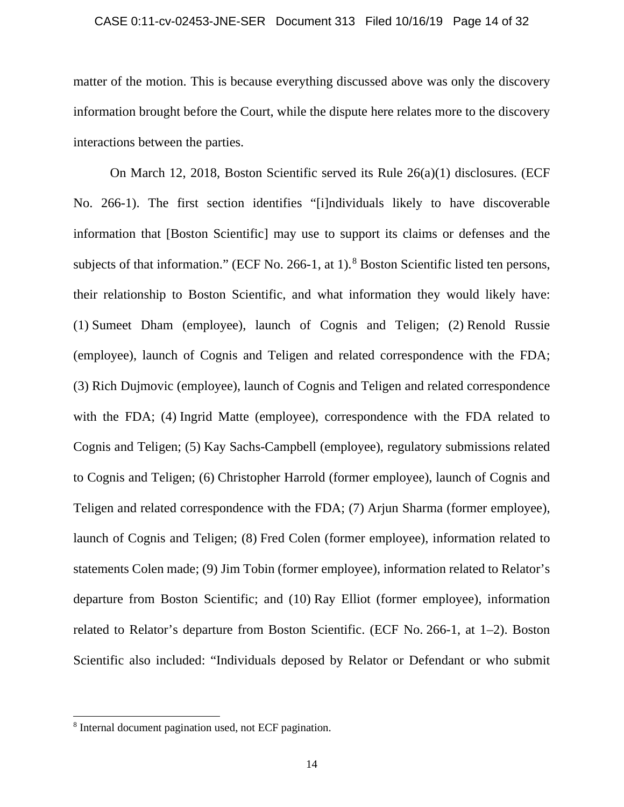### CASE 0:11-cv-02453-JNE-SER Document 313 Filed 10/16/19 Page 14 of 32

matter of the motion. This is because everything discussed above was only the discovery information brought before the Court, while the dispute here relates more to the discovery interactions between the parties.

On March 12, 2018, Boston Scientific served its Rule 26(a)(1) disclosures. (ECF No. 266-1). The first section identifies "[i]ndividuals likely to have discoverable information that [Boston Scientific] may use to support its claims or defenses and the subjects of that information." (ECF No. 266-1, at 1).<sup>8</sup> Boston Scientific listed ten persons, their relationship to Boston Scientific, and what information they would likely have: (1) Sumeet Dham (employee), launch of Cognis and Teligen; (2) Renold Russie (employee), launch of Cognis and Teligen and related correspondence with the FDA; (3) Rich Dujmovic (employee), launch of Cognis and Teligen and related correspondence with the FDA; (4) Ingrid Matte (employee), correspondence with the FDA related to Cognis and Teligen; (5) Kay Sachs-Campbell (employee), regulatory submissions related to Cognis and Teligen; (6) Christopher Harrold (former employee), launch of Cognis and Teligen and related correspondence with the FDA; (7) Arjun Sharma (former employee), launch of Cognis and Teligen; (8) Fred Colen (former employee), information related to statements Colen made; (9) Jim Tobin (former employee), information related to Relator's departure from Boston Scientific; and (10) Ray Elliot (former employee), information related to Relator's departure from Boston Scientific. (ECF No. 266-1, at 1–2). Boston Scientific also included: "Individuals deposed by Relator or Defendant or who submit

<sup>8</sup> Internal document pagination used, not ECF pagination.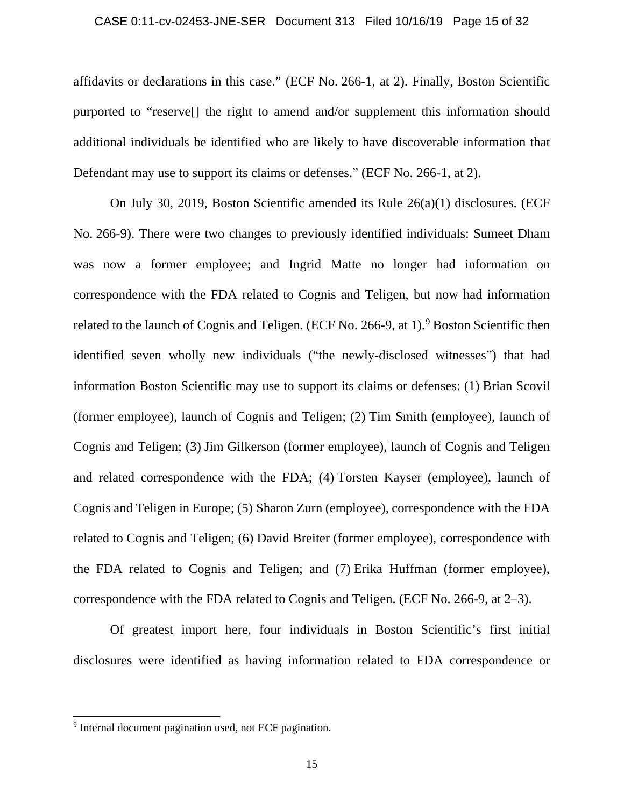### CASE 0:11-cv-02453-JNE-SER Document 313 Filed 10/16/19 Page 15 of 32

affidavits or declarations in this case." (ECF No. 266-1, at 2). Finally, Boston Scientific purported to "reserve[] the right to amend and/or supplement this information should additional individuals be identified who are likely to have discoverable information that Defendant may use to support its claims or defenses." (ECF No. 266-1, at 2).

On July 30, 2019, Boston Scientific amended its Rule 26(a)(1) disclosures. (ECF No. 266-9). There were two changes to previously identified individuals: Sumeet Dham was now a former employee; and Ingrid Matte no longer had information on correspondence with the FDA related to Cognis and Teligen, but now had information related to the launch of Cognis and Teligen. (ECF No. 266-9, at 1).<sup>9</sup> Boston Scientific then identified seven wholly new individuals ("the newly-disclosed witnesses") that had information Boston Scientific may use to support its claims or defenses: (1) Brian Scovil (former employee), launch of Cognis and Teligen; (2) Tim Smith (employee), launch of Cognis and Teligen; (3) Jim Gilkerson (former employee), launch of Cognis and Teligen and related correspondence with the FDA; (4) Torsten Kayser (employee), launch of Cognis and Teligen in Europe; (5) Sharon Zurn (employee), correspondence with the FDA related to Cognis and Teligen; (6) David Breiter (former employee), correspondence with the FDA related to Cognis and Teligen; and (7) Erika Huffman (former employee), correspondence with the FDA related to Cognis and Teligen. (ECF No. 266-9, at 2–3).

Of greatest import here, four individuals in Boston Scientific's first initial disclosures were identified as having information related to FDA correspondence or

<sup>&</sup>lt;sup>9</sup> Internal document pagination used, not ECF pagination.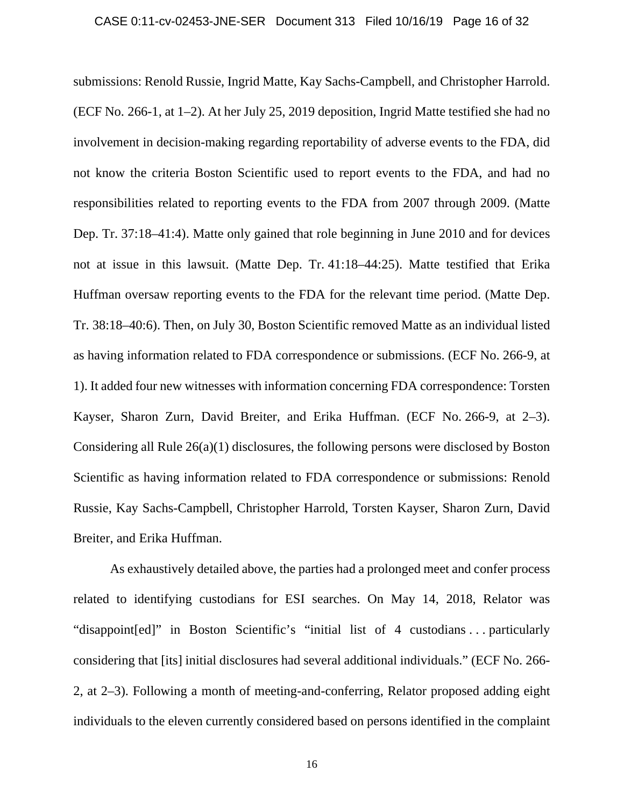### CASE 0:11-cv-02453-JNE-SER Document 313 Filed 10/16/19 Page 16 of 32

submissions: Renold Russie, Ingrid Matte, Kay Sachs-Campbell, and Christopher Harrold. (ECF No. 266-1, at 1–2). At her July 25, 2019 deposition, Ingrid Matte testified she had no involvement in decision-making regarding reportability of adverse events to the FDA, did not know the criteria Boston Scientific used to report events to the FDA, and had no responsibilities related to reporting events to the FDA from 2007 through 2009. (Matte Dep. Tr. 37:18–41:4). Matte only gained that role beginning in June 2010 and for devices not at issue in this lawsuit. (Matte Dep. Tr. 41:18–44:25). Matte testified that Erika Huffman oversaw reporting events to the FDA for the relevant time period. (Matte Dep. Tr. 38:18–40:6). Then, on July 30, Boston Scientific removed Matte as an individual listed as having information related to FDA correspondence or submissions. (ECF No. 266-9, at 1). It added four new witnesses with information concerning FDA correspondence: Torsten Kayser, Sharon Zurn, David Breiter, and Erika Huffman. (ECF No. 266-9, at 2–3). Considering all Rule 26(a)(1) disclosures, the following persons were disclosed by Boston Scientific as having information related to FDA correspondence or submissions: Renold Russie, Kay Sachs-Campbell, Christopher Harrold, Torsten Kayser, Sharon Zurn, David Breiter, and Erika Huffman.

As exhaustively detailed above, the parties had a prolonged meet and confer process related to identifying custodians for ESI searches. On May 14, 2018, Relator was "disappoint[ed]" in Boston Scientific's "initial list of 4 custodians . . . particularly considering that [its] initial disclosures had several additional individuals." (ECF No. 266- 2, at 2–3). Following a month of meeting-and-conferring, Relator proposed adding eight individuals to the eleven currently considered based on persons identified in the complaint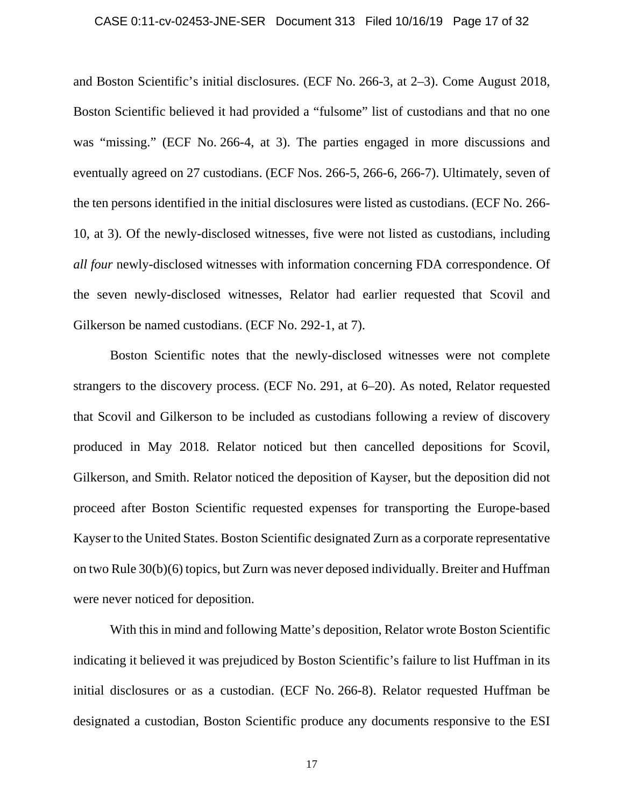### CASE 0:11-cv-02453-JNE-SER Document 313 Filed 10/16/19 Page 17 of 32

and Boston Scientific's initial disclosures. (ECF No. 266-3, at 2–3). Come August 2018, Boston Scientific believed it had provided a "fulsome" list of custodians and that no one was "missing." (ECF No. 266-4, at 3). The parties engaged in more discussions and eventually agreed on 27 custodians. (ECF Nos. 266-5, 266-6, 266-7). Ultimately, seven of the ten persons identified in the initial disclosures were listed as custodians. (ECF No. 266- 10, at 3). Of the newly-disclosed witnesses, five were not listed as custodians, including *all four* newly-disclosed witnesses with information concerning FDA correspondence. Of the seven newly-disclosed witnesses, Relator had earlier requested that Scovil and Gilkerson be named custodians. (ECF No. 292-1, at 7).

Boston Scientific notes that the newly-disclosed witnesses were not complete strangers to the discovery process. (ECF No. 291, at 6–20). As noted, Relator requested that Scovil and Gilkerson to be included as custodians following a review of discovery produced in May 2018. Relator noticed but then cancelled depositions for Scovil, Gilkerson, and Smith. Relator noticed the deposition of Kayser, but the deposition did not proceed after Boston Scientific requested expenses for transporting the Europe-based Kayser to the United States. Boston Scientific designated Zurn as a corporate representative on two Rule 30(b)(6) topics, but Zurn was never deposed individually. Breiter and Huffman were never noticed for deposition.

With this in mind and following Matte's deposition, Relator wrote Boston Scientific indicating it believed it was prejudiced by Boston Scientific's failure to list Huffman in its initial disclosures or as a custodian. (ECF No. 266-8). Relator requested Huffman be designated a custodian, Boston Scientific produce any documents responsive to the ESI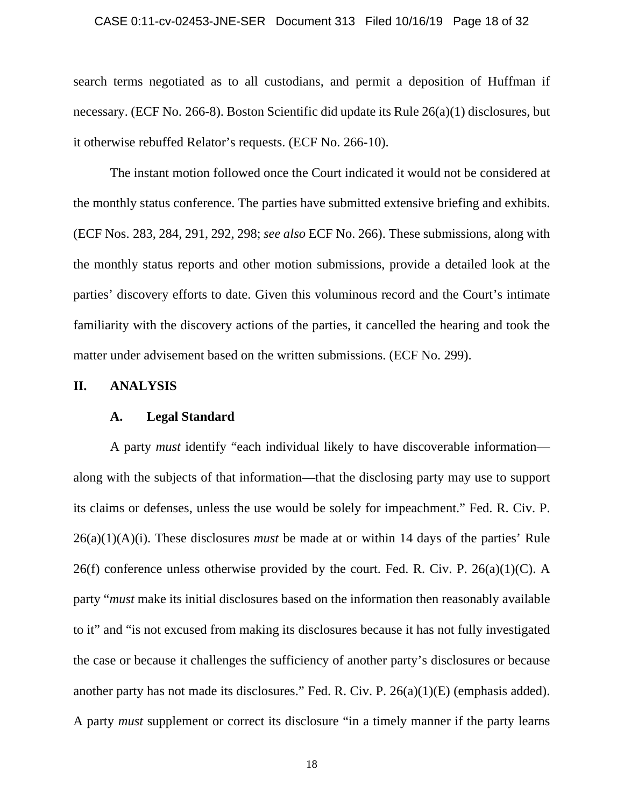### CASE 0:11-cv-02453-JNE-SER Document 313 Filed 10/16/19 Page 18 of 32

search terms negotiated as to all custodians, and permit a deposition of Huffman if necessary. (ECF No. 266-8). Boston Scientific did update its Rule 26(a)(1) disclosures, but it otherwise rebuffed Relator's requests. (ECF No. 266-10).

 The instant motion followed once the Court indicated it would not be considered at the monthly status conference. The parties have submitted extensive briefing and exhibits. (ECF Nos. 283, 284, 291, 292, 298; *see also* ECF No. 266). These submissions, along with the monthly status reports and other motion submissions, provide a detailed look at the parties' discovery efforts to date. Given this voluminous record and the Court's intimate familiarity with the discovery actions of the parties, it cancelled the hearing and took the matter under advisement based on the written submissions. (ECF No. 299).

## **II. ANALYSIS**

### **A. Legal Standard**

A party *must* identify "each individual likely to have discoverable information along with the subjects of that information—that the disclosing party may use to support its claims or defenses, unless the use would be solely for impeachment." Fed. R. Civ. P. 26(a)(1)(A)(i). These disclosures *must* be made at or within 14 days of the parties' Rule 26(f) conference unless otherwise provided by the court. Fed. R. Civ. P.  $26(a)(1)(C)$ . A party "*must* make its initial disclosures based on the information then reasonably available to it" and "is not excused from making its disclosures because it has not fully investigated the case or because it challenges the sufficiency of another party's disclosures or because another party has not made its disclosures." Fed. R. Civ. P. 26(a)(1)(E) (emphasis added). A party *must* supplement or correct its disclosure "in a timely manner if the party learns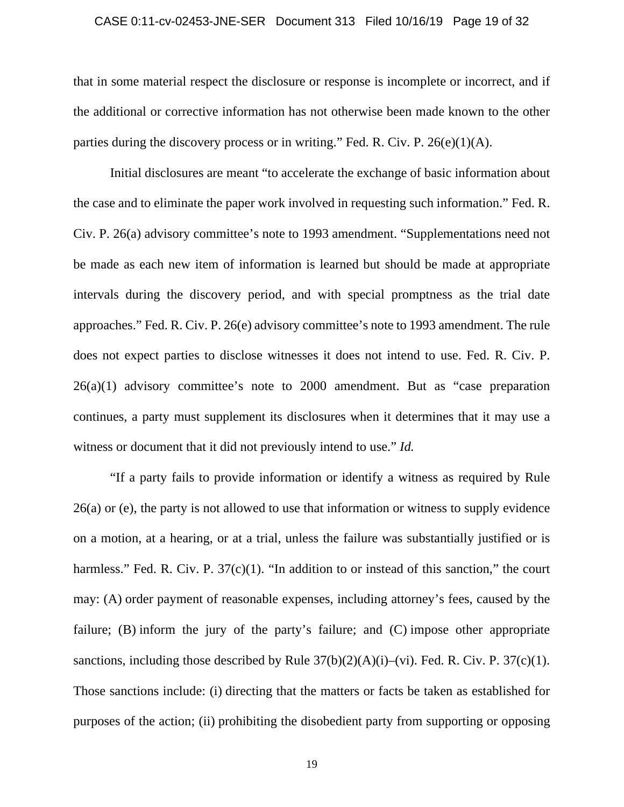### CASE 0:11-cv-02453-JNE-SER Document 313 Filed 10/16/19 Page 19 of 32

that in some material respect the disclosure or response is incomplete or incorrect, and if the additional or corrective information has not otherwise been made known to the other parties during the discovery process or in writing." Fed. R. Civ. P.  $26(e)(1)(A)$ .

Initial disclosures are meant "to accelerate the exchange of basic information about the case and to eliminate the paper work involved in requesting such information." Fed. R. Civ. P. 26(a) advisory committee's note to 1993 amendment. "Supplementations need not be made as each new item of information is learned but should be made at appropriate intervals during the discovery period, and with special promptness as the trial date approaches." Fed. R. Civ. P. 26(e) advisory committee's note to 1993 amendment. The rule does not expect parties to disclose witnesses it does not intend to use. Fed. R. Civ. P. 26(a)(1) advisory committee's note to 2000 amendment. But as "case preparation continues, a party must supplement its disclosures when it determines that it may use a witness or document that it did not previously intend to use." *Id.*

 "If a party fails to provide information or identify a witness as required by Rule 26(a) or (e), the party is not allowed to use that information or witness to supply evidence on a motion, at a hearing, or at a trial, unless the failure was substantially justified or is harmless." Fed. R. Civ. P. 37(c)(1). "In addition to or instead of this sanction," the court may: (A) order payment of reasonable expenses, including attorney's fees, caused by the failure; (B) inform the jury of the party's failure; and (C) impose other appropriate sanctions, including those described by Rule  $37(b)(2)(A)(i)$ –(vi). Fed. R. Civ. P.  $37(c)(1)$ . Those sanctions include: (i) directing that the matters or facts be taken as established for purposes of the action; (ii) prohibiting the disobedient party from supporting or opposing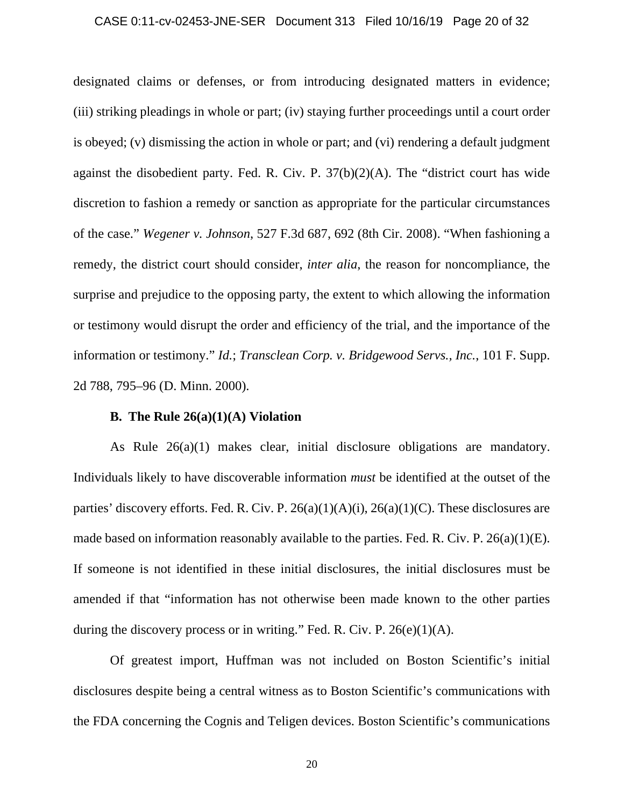### CASE 0:11-cv-02453-JNE-SER Document 313 Filed 10/16/19 Page 20 of 32

designated claims or defenses, or from introducing designated matters in evidence; (iii) striking pleadings in whole or part; (iv) staying further proceedings until a court order is obeyed; (v) dismissing the action in whole or part; and (vi) rendering a default judgment against the disobedient party. Fed. R. Civ. P. 37(b)(2)(A). The "district court has wide discretion to fashion a remedy or sanction as appropriate for the particular circumstances of the case." *Wegener v. Johnson*, 527 F.3d 687, 692 (8th Cir. 2008). "When fashioning a remedy, the district court should consider, *inter alia*, the reason for noncompliance, the surprise and prejudice to the opposing party, the extent to which allowing the information or testimony would disrupt the order and efficiency of the trial, and the importance of the information or testimony." *Id.*; *Transclean Corp. v. Bridgewood Servs., Inc.*, 101 F. Supp. 2d 788, 795–96 (D. Minn. 2000).

## **B. The Rule 26(a)(1)(A) Violation**

As Rule 26(a)(1) makes clear, initial disclosure obligations are mandatory. Individuals likely to have discoverable information *must* be identified at the outset of the parties' discovery efforts. Fed. R. Civ. P.  $26(a)(1)(A)(i)$ ,  $26(a)(1)(C)$ . These disclosures are made based on information reasonably available to the parties. Fed. R. Civ. P. 26(a)(1)(E). If someone is not identified in these initial disclosures, the initial disclosures must be amended if that "information has not otherwise been made known to the other parties during the discovery process or in writing." Fed. R. Civ. P.  $26(e)(1)(A)$ .

Of greatest import, Huffman was not included on Boston Scientific's initial disclosures despite being a central witness as to Boston Scientific's communications with the FDA concerning the Cognis and Teligen devices. Boston Scientific's communications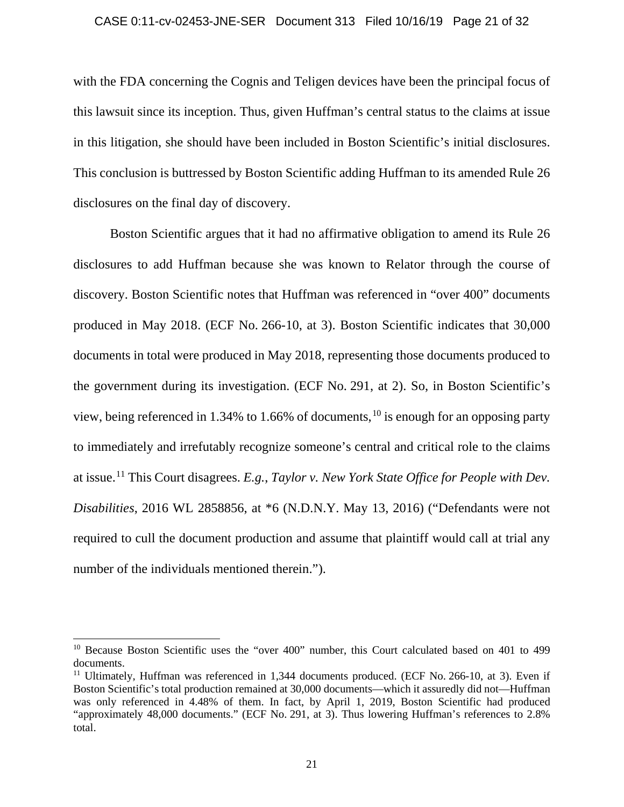### CASE 0:11-cv-02453-JNE-SER Document 313 Filed 10/16/19 Page 21 of 32

with the FDA concerning the Cognis and Teligen devices have been the principal focus of this lawsuit since its inception. Thus, given Huffman's central status to the claims at issue in this litigation, she should have been included in Boston Scientific's initial disclosures. This conclusion is buttressed by Boston Scientific adding Huffman to its amended Rule 26 disclosures on the final day of discovery.

Boston Scientific argues that it had no affirmative obligation to amend its Rule 26 disclosures to add Huffman because she was known to Relator through the course of discovery. Boston Scientific notes that Huffman was referenced in "over 400" documents produced in May 2018. (ECF No. 266-10, at 3). Boston Scientific indicates that 30,000 documents in total were produced in May 2018, representing those documents produced to the government during its investigation. (ECF No. 291, at 2). So, in Boston Scientific's view, being referenced in 1.34% to 1.66% of documents,  $^{10}$  is enough for an opposing party to immediately and irrefutably recognize someone's central and critical role to the claims at issue.11 This Court disagrees. *E.g.*, *Taylor v. New York State Office for People with Dev. Disabilities*, 2016 WL 2858856, at \*6 (N.D.N.Y. May 13, 2016) ("Defendants were not required to cull the document production and assume that plaintiff would call at trial any number of the individuals mentioned therein.").

<sup>&</sup>lt;sup>10</sup> Because Boston Scientific uses the "over 400" number, this Court calculated based on 401 to 499 documents.

 $11$  Ultimately, Huffman was referenced in 1,344 documents produced. (ECF No. 266-10, at 3). Even if Boston Scientific's total production remained at 30,000 documents—which it assuredly did not—Huffman was only referenced in 4.48% of them. In fact, by April 1, 2019, Boston Scientific had produced "approximately 48,000 documents." (ECF No. 291, at 3). Thus lowering Huffman's references to 2.8% total.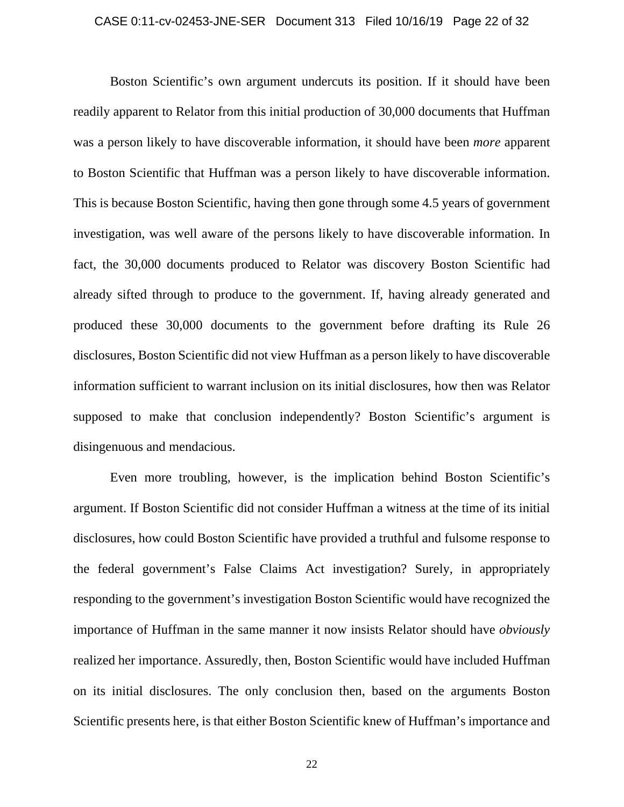### CASE 0:11-cv-02453-JNE-SER Document 313 Filed 10/16/19 Page 22 of 32

Boston Scientific's own argument undercuts its position. If it should have been readily apparent to Relator from this initial production of 30,000 documents that Huffman was a person likely to have discoverable information, it should have been *more* apparent to Boston Scientific that Huffman was a person likely to have discoverable information. This is because Boston Scientific, having then gone through some 4.5 years of government investigation, was well aware of the persons likely to have discoverable information. In fact, the 30,000 documents produced to Relator was discovery Boston Scientific had already sifted through to produce to the government. If, having already generated and produced these 30,000 documents to the government before drafting its Rule 26 disclosures, Boston Scientific did not view Huffman as a person likely to have discoverable information sufficient to warrant inclusion on its initial disclosures, how then was Relator supposed to make that conclusion independently? Boston Scientific's argument is disingenuous and mendacious.

Even more troubling, however, is the implication behind Boston Scientific's argument. If Boston Scientific did not consider Huffman a witness at the time of its initial disclosures, how could Boston Scientific have provided a truthful and fulsome response to the federal government's False Claims Act investigation? Surely, in appropriately responding to the government's investigation Boston Scientific would have recognized the importance of Huffman in the same manner it now insists Relator should have *obviously* realized her importance. Assuredly, then, Boston Scientific would have included Huffman on its initial disclosures. The only conclusion then, based on the arguments Boston Scientific presents here, is that either Boston Scientific knew of Huffman's importance and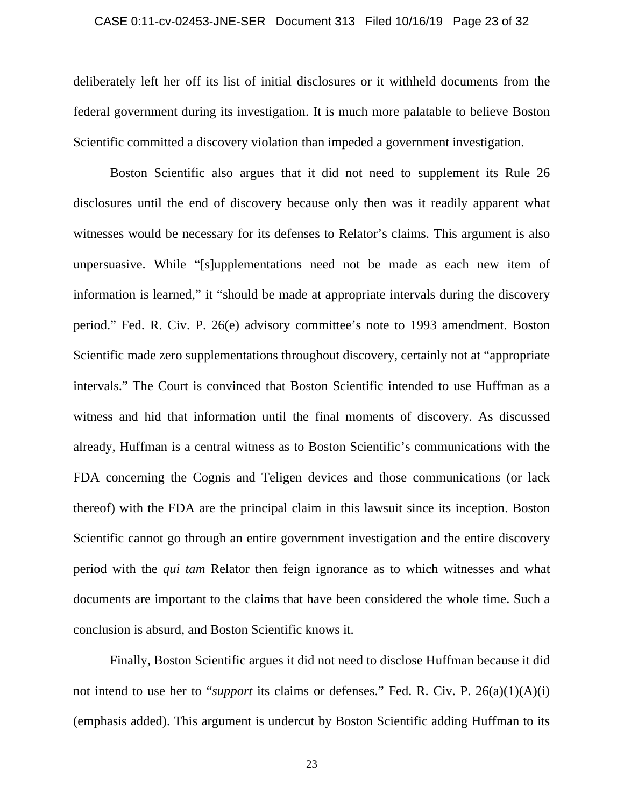### CASE 0:11-cv-02453-JNE-SER Document 313 Filed 10/16/19 Page 23 of 32

deliberately left her off its list of initial disclosures or it withheld documents from the federal government during its investigation. It is much more palatable to believe Boston Scientific committed a discovery violation than impeded a government investigation.

Boston Scientific also argues that it did not need to supplement its Rule 26 disclosures until the end of discovery because only then was it readily apparent what witnesses would be necessary for its defenses to Relator's claims. This argument is also unpersuasive. While "[s]upplementations need not be made as each new item of information is learned," it "should be made at appropriate intervals during the discovery period." Fed. R. Civ. P. 26(e) advisory committee's note to 1993 amendment. Boston Scientific made zero supplementations throughout discovery, certainly not at "appropriate intervals." The Court is convinced that Boston Scientific intended to use Huffman as a witness and hid that information until the final moments of discovery. As discussed already, Huffman is a central witness as to Boston Scientific's communications with the FDA concerning the Cognis and Teligen devices and those communications (or lack thereof) with the FDA are the principal claim in this lawsuit since its inception. Boston Scientific cannot go through an entire government investigation and the entire discovery period with the *qui tam* Relator then feign ignorance as to which witnesses and what documents are important to the claims that have been considered the whole time. Such a conclusion is absurd, and Boston Scientific knows it.

 Finally, Boston Scientific argues it did not need to disclose Huffman because it did not intend to use her to "*support* its claims or defenses." Fed. R. Civ. P. 26(a)(1)(A)(i) (emphasis added). This argument is undercut by Boston Scientific adding Huffman to its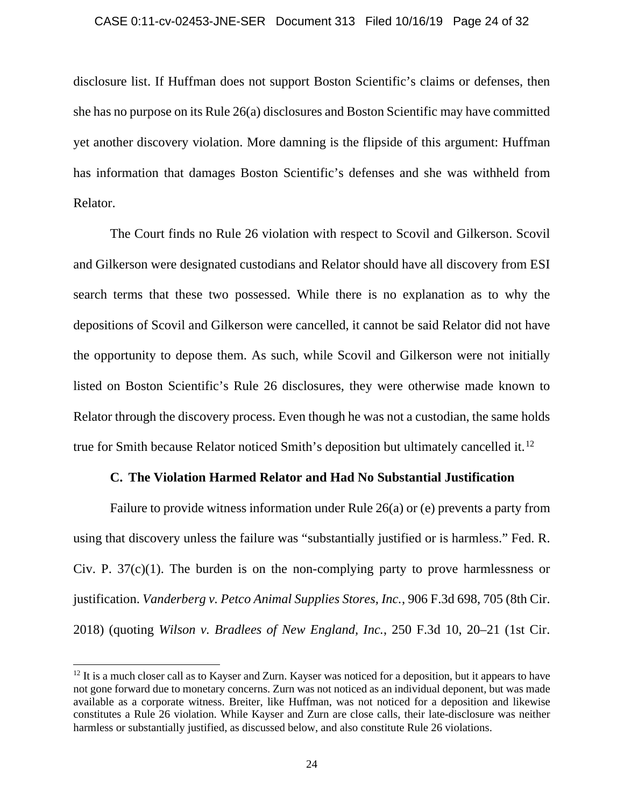### CASE 0:11-cv-02453-JNE-SER Document 313 Filed 10/16/19 Page 24 of 32

disclosure list. If Huffman does not support Boston Scientific's claims or defenses, then she has no purpose on its Rule 26(a) disclosures and Boston Scientific may have committed yet another discovery violation. More damning is the flipside of this argument: Huffman has information that damages Boston Scientific's defenses and she was withheld from Relator.

The Court finds no Rule 26 violation with respect to Scovil and Gilkerson. Scovil and Gilkerson were designated custodians and Relator should have all discovery from ESI search terms that these two possessed. While there is no explanation as to why the depositions of Scovil and Gilkerson were cancelled, it cannot be said Relator did not have the opportunity to depose them. As such, while Scovil and Gilkerson were not initially listed on Boston Scientific's Rule 26 disclosures, they were otherwise made known to Relator through the discovery process. Even though he was not a custodian, the same holds true for Smith because Relator noticed Smith's deposition but ultimately cancelled it.12

# **C. The Violation Harmed Relator and Had No Substantial Justification**

Failure to provide witness information under Rule 26(a) or (e) prevents a party from using that discovery unless the failure was "substantially justified or is harmless." Fed. R. Civ. P.  $37(c)(1)$ . The burden is on the non-complying party to prove harmlessness or justification. *Vanderberg v. Petco Animal Supplies Stores, Inc.*, 906 F.3d 698, 705 (8th Cir. 2018) (quoting *Wilson v. Bradlees of New England, Inc.*, 250 F.3d 10, 20–21 (1st Cir.

 $12$  It is a much closer call as to Kayser and Zurn. Kayser was noticed for a deposition, but it appears to have not gone forward due to monetary concerns. Zurn was not noticed as an individual deponent, but was made available as a corporate witness. Breiter, like Huffman, was not noticed for a deposition and likewise constitutes a Rule 26 violation. While Kayser and Zurn are close calls, their late-disclosure was neither harmless or substantially justified, as discussed below, and also constitute Rule 26 violations.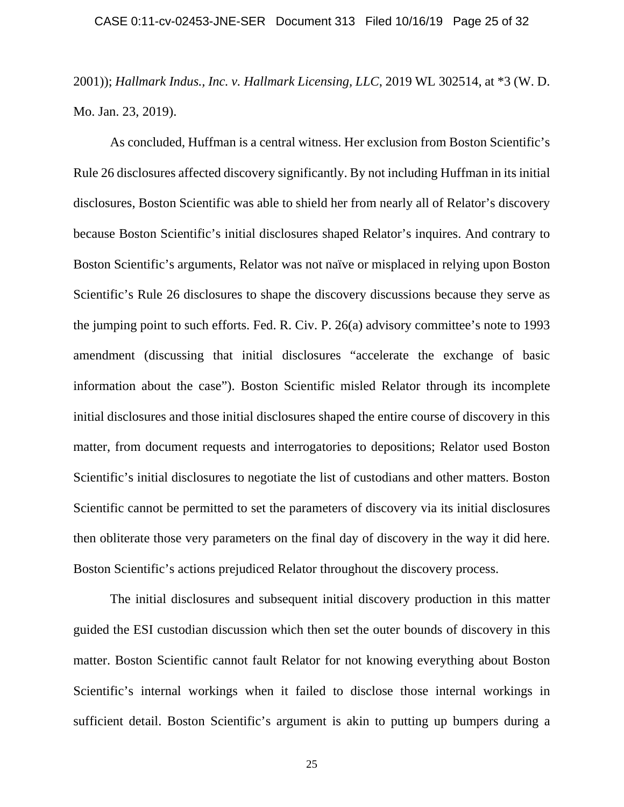2001)); *Hallmark Indus., Inc. v. Hallmark Licensing, LLC*, 2019 WL 302514, at \*3 (W. D. Mo. Jan. 23, 2019).

As concluded, Huffman is a central witness. Her exclusion from Boston Scientific's Rule 26 disclosures affected discovery significantly. By not including Huffman in its initial disclosures, Boston Scientific was able to shield her from nearly all of Relator's discovery because Boston Scientific's initial disclosures shaped Relator's inquires. And contrary to Boston Scientific's arguments, Relator was not naïve or misplaced in relying upon Boston Scientific's Rule 26 disclosures to shape the discovery discussions because they serve as the jumping point to such efforts. Fed. R. Civ. P. 26(a) advisory committee's note to 1993 amendment (discussing that initial disclosures "accelerate the exchange of basic information about the case"). Boston Scientific misled Relator through its incomplete initial disclosures and those initial disclosures shaped the entire course of discovery in this matter, from document requests and interrogatories to depositions; Relator used Boston Scientific's initial disclosures to negotiate the list of custodians and other matters. Boston Scientific cannot be permitted to set the parameters of discovery via its initial disclosures then obliterate those very parameters on the final day of discovery in the way it did here. Boston Scientific's actions prejudiced Relator throughout the discovery process.

The initial disclosures and subsequent initial discovery production in this matter guided the ESI custodian discussion which then set the outer bounds of discovery in this matter. Boston Scientific cannot fault Relator for not knowing everything about Boston Scientific's internal workings when it failed to disclose those internal workings in sufficient detail. Boston Scientific's argument is akin to putting up bumpers during a

25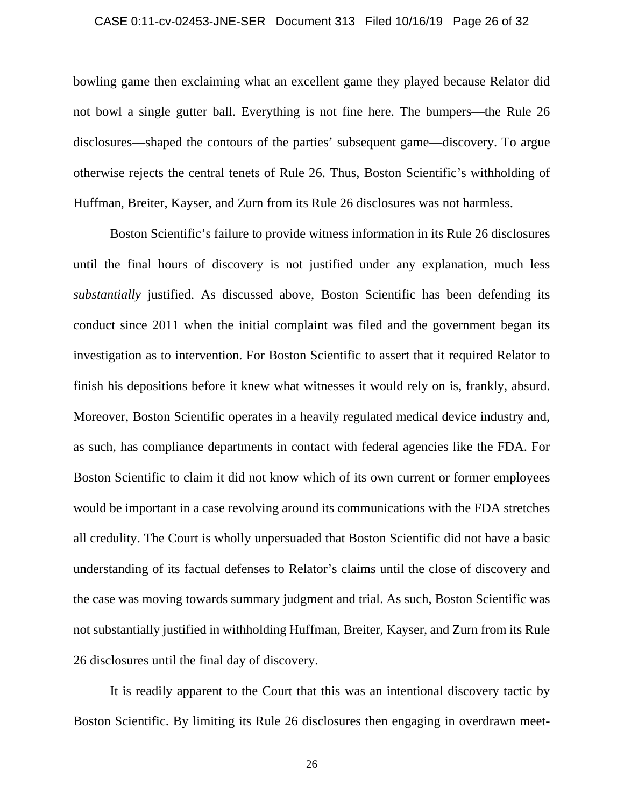### CASE 0:11-cv-02453-JNE-SER Document 313 Filed 10/16/19 Page 26 of 32

bowling game then exclaiming what an excellent game they played because Relator did not bowl a single gutter ball. Everything is not fine here. The bumpers—the Rule 26 disclosures—shaped the contours of the parties' subsequent game—discovery. To argue otherwise rejects the central tenets of Rule 26. Thus, Boston Scientific's withholding of Huffman, Breiter, Kayser, and Zurn from its Rule 26 disclosures was not harmless.

Boston Scientific's failure to provide witness information in its Rule 26 disclosures until the final hours of discovery is not justified under any explanation, much less *substantially* justified. As discussed above, Boston Scientific has been defending its conduct since 2011 when the initial complaint was filed and the government began its investigation as to intervention. For Boston Scientific to assert that it required Relator to finish his depositions before it knew what witnesses it would rely on is, frankly, absurd. Moreover, Boston Scientific operates in a heavily regulated medical device industry and, as such, has compliance departments in contact with federal agencies like the FDA. For Boston Scientific to claim it did not know which of its own current or former employees would be important in a case revolving around its communications with the FDA stretches all credulity. The Court is wholly unpersuaded that Boston Scientific did not have a basic understanding of its factual defenses to Relator's claims until the close of discovery and the case was moving towards summary judgment and trial. As such, Boston Scientific was not substantially justified in withholding Huffman, Breiter, Kayser, and Zurn from its Rule 26 disclosures until the final day of discovery.

It is readily apparent to the Court that this was an intentional discovery tactic by Boston Scientific. By limiting its Rule 26 disclosures then engaging in overdrawn meet-

26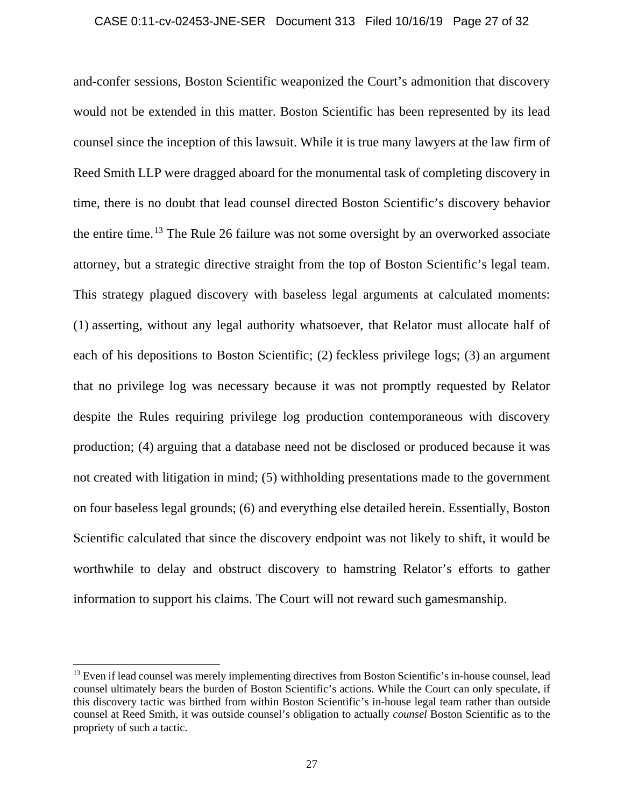### CASE 0:11-cv-02453-JNE-SER Document 313 Filed 10/16/19 Page 27 of 32

and-confer sessions, Boston Scientific weaponized the Court's admonition that discovery would not be extended in this matter. Boston Scientific has been represented by its lead counsel since the inception of this lawsuit. While it is true many lawyers at the law firm of Reed Smith LLP were dragged aboard for the monumental task of completing discovery in time, there is no doubt that lead counsel directed Boston Scientific's discovery behavior the entire time.13 The Rule 26 failure was not some oversight by an overworked associate attorney, but a strategic directive straight from the top of Boston Scientific's legal team. This strategy plagued discovery with baseless legal arguments at calculated moments: (1) asserting, without any legal authority whatsoever, that Relator must allocate half of each of his depositions to Boston Scientific; (2) feckless privilege logs; (3) an argument that no privilege log was necessary because it was not promptly requested by Relator despite the Rules requiring privilege log production contemporaneous with discovery production; (4) arguing that a database need not be disclosed or produced because it was not created with litigation in mind; (5) withholding presentations made to the government on four baseless legal grounds; (6) and everything else detailed herein. Essentially, Boston Scientific calculated that since the discovery endpoint was not likely to shift, it would be worthwhile to delay and obstruct discovery to hamstring Relator's efforts to gather information to support his claims. The Court will not reward such gamesmanship.

<sup>&</sup>lt;sup>13</sup> Even if lead counsel was merely implementing directives from Boston Scientific's in-house counsel, lead counsel ultimately bears the burden of Boston Scientific's actions. While the Court can only speculate, if this discovery tactic was birthed from within Boston Scientific's in-house legal team rather than outside counsel at Reed Smith, it was outside counsel's obligation to actually *counsel* Boston Scientific as to the propriety of such a tactic.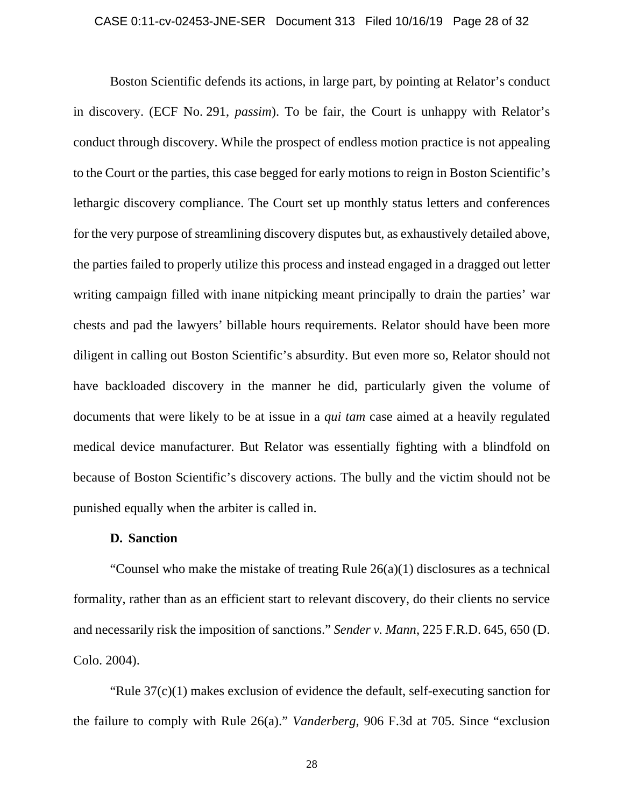### CASE 0:11-cv-02453-JNE-SER Document 313 Filed 10/16/19 Page 28 of 32

 Boston Scientific defends its actions, in large part, by pointing at Relator's conduct in discovery. (ECF No. 291, *passim*). To be fair, the Court is unhappy with Relator's conduct through discovery. While the prospect of endless motion practice is not appealing to the Court or the parties, this case begged for early motions to reign in Boston Scientific's lethargic discovery compliance. The Court set up monthly status letters and conferences for the very purpose of streamlining discovery disputes but, as exhaustively detailed above, the parties failed to properly utilize this process and instead engaged in a dragged out letter writing campaign filled with inane nitpicking meant principally to drain the parties' war chests and pad the lawyers' billable hours requirements. Relator should have been more diligent in calling out Boston Scientific's absurdity. But even more so, Relator should not have backloaded discovery in the manner he did, particularly given the volume of documents that were likely to be at issue in a *qui tam* case aimed at a heavily regulated medical device manufacturer. But Relator was essentially fighting with a blindfold on because of Boston Scientific's discovery actions. The bully and the victim should not be punished equally when the arbiter is called in.

# **D. Sanction**

 "Counsel who make the mistake of treating Rule 26(a)(1) disclosures as a technical formality, rather than as an efficient start to relevant discovery, do their clients no service and necessarily risk the imposition of sanctions." *Sender v. Mann*, 225 F.R.D. 645, 650 (D. Colo. 2004).

 "Rule 37(c)(1) makes exclusion of evidence the default, self-executing sanction for the failure to comply with Rule 26(a)." *Vanderberg*, 906 F.3d at 705. Since "exclusion

28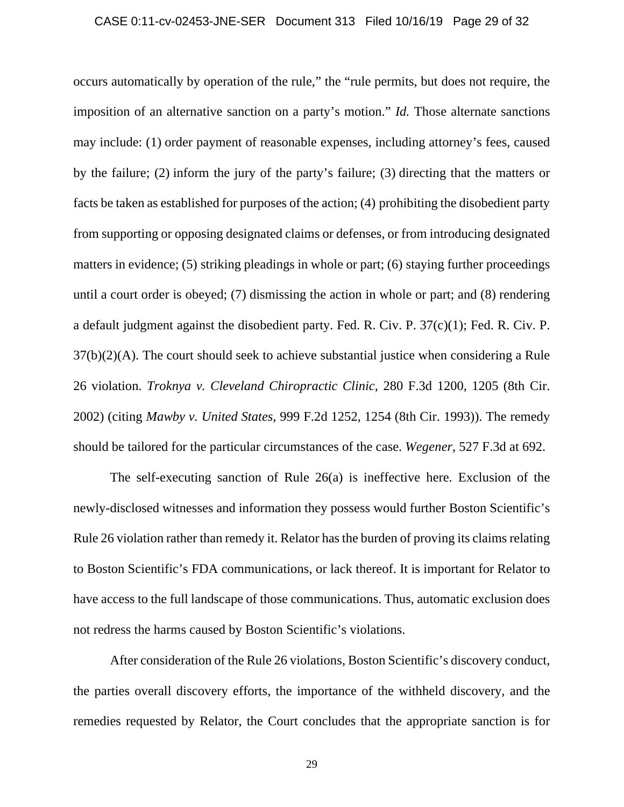### CASE 0:11-cv-02453-JNE-SER Document 313 Filed 10/16/19 Page 29 of 32

occurs automatically by operation of the rule," the "rule permits, but does not require, the imposition of an alternative sanction on a party's motion." *Id.* Those alternate sanctions may include: (1) order payment of reasonable expenses, including attorney's fees, caused by the failure; (2) inform the jury of the party's failure; (3) directing that the matters or facts be taken as established for purposes of the action; (4) prohibiting the disobedient party from supporting or opposing designated claims or defenses, or from introducing designated matters in evidence; (5) striking pleadings in whole or part; (6) staying further proceedings until a court order is obeyed; (7) dismissing the action in whole or part; and (8) rendering a default judgment against the disobedient party. Fed. R. Civ. P. 37(c)(1); Fed. R. Civ. P. 37(b)(2)(A). The court should seek to achieve substantial justice when considering a Rule 26 violation. *Troknya v. Cleveland Chiropractic Clinic*, 280 F.3d 1200, 1205 (8th Cir. 2002) (citing *Mawby v. United States*, 999 F.2d 1252, 1254 (8th Cir. 1993)). The remedy should be tailored for the particular circumstances of the case. *Wegener*, 527 F.3d at 692.

The self-executing sanction of Rule 26(a) is ineffective here. Exclusion of the newly-disclosed witnesses and information they possess would further Boston Scientific's Rule 26 violation rather than remedy it. Relator has the burden of proving its claims relating to Boston Scientific's FDA communications, or lack thereof. It is important for Relator to have access to the full landscape of those communications. Thus, automatic exclusion does not redress the harms caused by Boston Scientific's violations.

After consideration of the Rule 26 violations, Boston Scientific's discovery conduct, the parties overall discovery efforts, the importance of the withheld discovery, and the remedies requested by Relator, the Court concludes that the appropriate sanction is for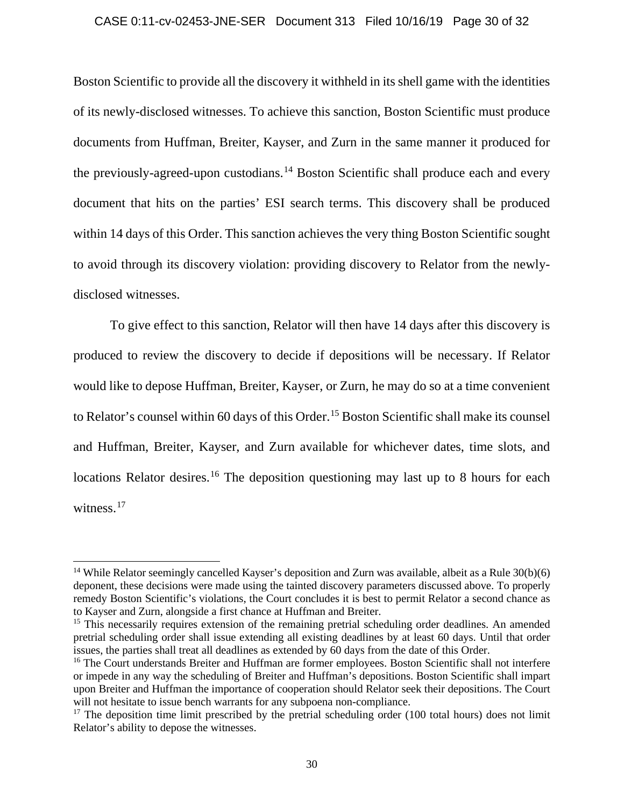### CASE 0:11-cv-02453-JNE-SER Document 313 Filed 10/16/19 Page 30 of 32

Boston Scientific to provide all the discovery it withheld in its shell game with the identities of its newly-disclosed witnesses. To achieve this sanction, Boston Scientific must produce documents from Huffman, Breiter, Kayser, and Zurn in the same manner it produced for the previously-agreed-upon custodians.<sup>14</sup> Boston Scientific shall produce each and every document that hits on the parties' ESI search terms. This discovery shall be produced within 14 days of this Order. This sanction achieves the very thing Boston Scientific sought to avoid through its discovery violation: providing discovery to Relator from the newlydisclosed witnesses.

To give effect to this sanction, Relator will then have 14 days after this discovery is produced to review the discovery to decide if depositions will be necessary. If Relator would like to depose Huffman, Breiter, Kayser, or Zurn, he may do so at a time convenient to Relator's counsel within 60 days of this Order.<sup>15</sup> Boston Scientific shall make its counsel and Huffman, Breiter, Kayser, and Zurn available for whichever dates, time slots, and locations Relator desires.<sup>16</sup> The deposition questioning may last up to 8 hours for each witness.<sup>17</sup>

<sup>&</sup>lt;sup>14</sup> While Relator seemingly cancelled Kayser's deposition and Zurn was available, albeit as a Rule  $30(b)(6)$ deponent, these decisions were made using the tainted discovery parameters discussed above. To properly remedy Boston Scientific's violations, the Court concludes it is best to permit Relator a second chance as to Kayser and Zurn, alongside a first chance at Huffman and Breiter.

<sup>&</sup>lt;sup>15</sup> This necessarily requires extension of the remaining pretrial scheduling order deadlines. An amended pretrial scheduling order shall issue extending all existing deadlines by at least 60 days. Until that order issues, the parties shall treat all deadlines as extended by 60 days from the date of this Order.

<sup>&</sup>lt;sup>16</sup> The Court understands Breiter and Huffman are former employees. Boston Scientific shall not interfere or impede in any way the scheduling of Breiter and Huffman's depositions. Boston Scientific shall impart upon Breiter and Huffman the importance of cooperation should Relator seek their depositions. The Court will not hesitate to issue bench warrants for any subpoena non-compliance.

 $17$  The deposition time limit prescribed by the pretrial scheduling order (100 total hours) does not limit Relator's ability to depose the witnesses.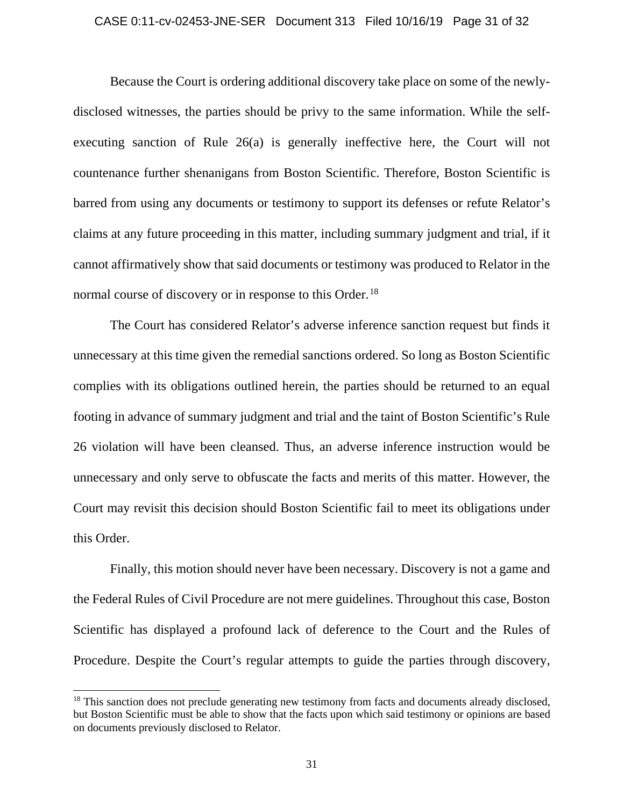### CASE 0:11-cv-02453-JNE-SER Document 313 Filed 10/16/19 Page 31 of 32

Because the Court is ordering additional discovery take place on some of the newlydisclosed witnesses, the parties should be privy to the same information. While the selfexecuting sanction of Rule 26(a) is generally ineffective here, the Court will not countenance further shenanigans from Boston Scientific. Therefore, Boston Scientific is barred from using any documents or testimony to support its defenses or refute Relator's claims at any future proceeding in this matter, including summary judgment and trial, if it cannot affirmatively show that said documents or testimony was produced to Relator in the normal course of discovery or in response to this Order.<sup>18</sup>

The Court has considered Relator's adverse inference sanction request but finds it unnecessary at this time given the remedial sanctions ordered. So long as Boston Scientific complies with its obligations outlined herein, the parties should be returned to an equal footing in advance of summary judgment and trial and the taint of Boston Scientific's Rule 26 violation will have been cleansed. Thus, an adverse inference instruction would be unnecessary and only serve to obfuscate the facts and merits of this matter. However, the Court may revisit this decision should Boston Scientific fail to meet its obligations under this Order.

Finally, this motion should never have been necessary. Discovery is not a game and the Federal Rules of Civil Procedure are not mere guidelines. Throughout this case, Boston Scientific has displayed a profound lack of deference to the Court and the Rules of Procedure. Despite the Court's regular attempts to guide the parties through discovery,

<sup>&</sup>lt;sup>18</sup> This sanction does not preclude generating new testimony from facts and documents already disclosed, but Boston Scientific must be able to show that the facts upon which said testimony or opinions are based on documents previously disclosed to Relator.